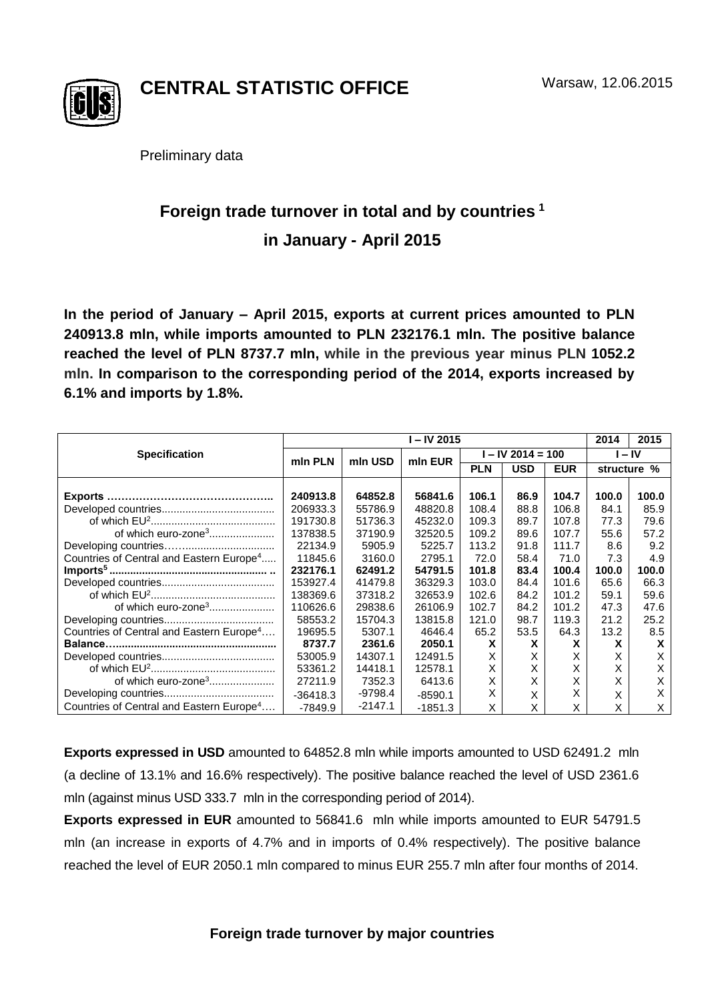

**CENTRAL STATISTIC OFFICE**

Preliminary data

## **Foreign trade turnover in total and by countries <sup>1</sup> in January - April 2015**

**In the period of January – April 2015, exports at current prices amounted to PLN 240913.8 mln, while imports amounted to PLN 232176.1 mln. The positive balance reached the level of PLN 8737.7 mln, while in the previous year minus PLN 1052.2 mln. In comparison to the corresponding period of the 2014, exports increased by 6.1% and imports by 1.8%.**

|                                                      | $-$ IV 2015 |           |           |                   |            |            | 2014        | 2015  |
|------------------------------------------------------|-------------|-----------|-----------|-------------------|------------|------------|-------------|-------|
| <b>Specification</b>                                 | min PLN     | mln USD   | min EUR   | I – IV 2014 = 100 |            |            | $-IV$       |       |
|                                                      |             |           |           | <b>PLN</b>        | <b>USD</b> | <b>EUR</b> | structure % |       |
|                                                      |             |           |           |                   |            |            |             |       |
|                                                      | 240913.8    | 64852.8   | 56841.6   | 106.1             | 86.9       | 104.7      | 100.0       | 100.0 |
|                                                      | 206933.3    | 55786.9   | 48820.8   | 108.4             | 88.8       | 106.8      | 84.1        | 85.9  |
|                                                      | 191730.8    | 51736.3   | 45232.0   | 109.3             | 89.7       | 107.8      | 77.3        | 79.6  |
| of which euro-zone <sup>3</sup>                      | 137838.5    | 37190.9   | 32520.5   | 109.2             | 89.6       | 107.7      | 55.6        | 57.2  |
|                                                      | 22134.9     | 5905.9    | 5225.7    | 113.2             | 91.8       | 111.7      | 8.6         | 9.2   |
| Countries of Central and Eastern Europe <sup>4</sup> | 11845.6     | 3160.0    | 2795.1    | 72.0              | 58.4       | 71.0       | 7.3         | 4.9   |
|                                                      | 232176.1    | 62491.2   | 54791.5   | 101.8             | 83.4       | 100.4      | 100.0       | 100.0 |
|                                                      | 153927.4    | 41479.8   | 36329.3   | 103.0             | 84.4       | 101.6      | 65.6        | 66.3  |
|                                                      | 138369.6    | 37318.2   | 32653.9   | 102.6             | 84.2       | 101.2      | 59.1        | 59.6  |
|                                                      | 110626.6    | 29838.6   | 26106.9   | 102.7             | 84.2       | 101.2      | 47.3        | 47.6  |
|                                                      | 58553.2     | 15704.3   | 13815.8   | 121.0             | 98.7       | 119.3      | 21.2        | 25.2  |
| Countries of Central and Eastern Europe <sup>4</sup> | 19695.5     | 5307.1    | 4646.4    | 65.2              | 53.5       | 64.3       | 13.2        | 8.5   |
|                                                      | 8737.7      | 2361.6    | 2050.1    | X                 | X          | x          | X           | x     |
|                                                      | 53005.9     | 14307.1   | 12491.5   | X                 | X          | X          | x           | X     |
|                                                      | 53361.2     | 14418.1   | 12578.1   | X                 | X          | Х          | X           | Х     |
| of which euro-zone <sup>3</sup>                      | 27211.9     | 7352.3    | 6413.6    | X                 | X          | X          | X           | X     |
|                                                      | $-36418.3$  | $-9798.4$ | $-8590.1$ | X                 | X          | X          | X           | X     |
| Countries of Central and Eastern Europe <sup>4</sup> | -7849.9     | $-2147.1$ | $-1851.3$ | X                 | X          | X          | X           | X     |

**Exports expressed in USD** amounted to 64852.8 mln while imports amounted to USD 62491.2 mln (a decline of 13.1% and 16.6% respectively). The positive balance reached the level of USD 2361.6 mln (against minus USD 333.7 mln in the corresponding period of 2014).

**Exports expressed in EUR** amounted to 56841.6 mln while imports amounted to EUR 54791.5 mln (an increase in exports of 4.7% and in imports of 0.4% respectively). The positive balance reached the level of EUR 2050.1 mln compared to minus EUR 255.7 mln after four months of 2014.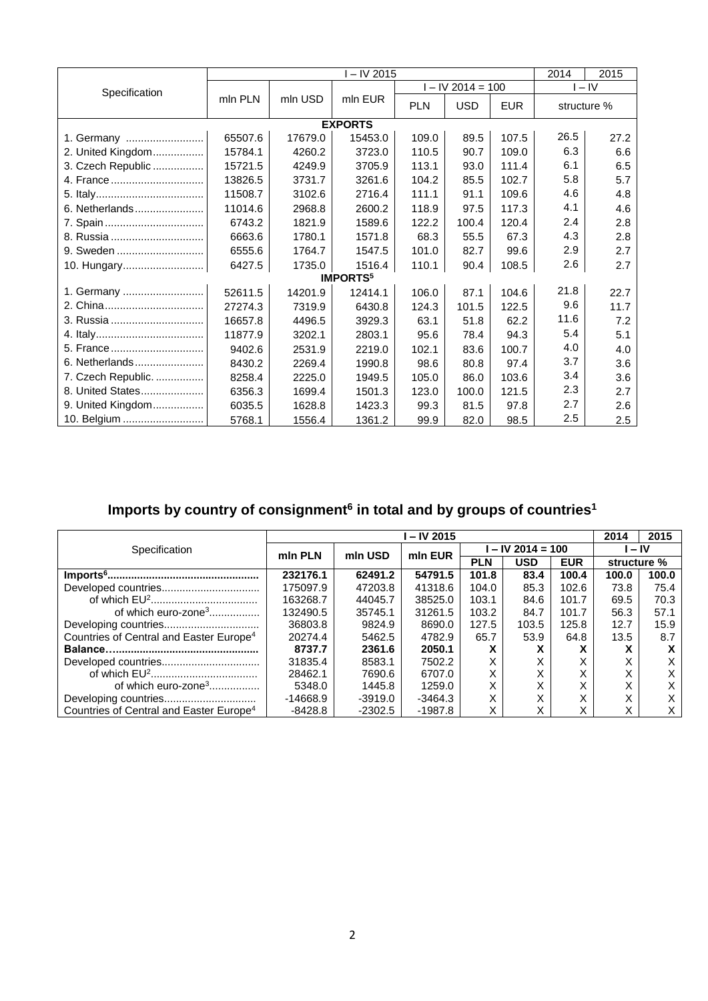|                    | $\overline{I}$ – IV 2015 |         |                            |            | 2014<br>2015        |            |             |      |  |
|--------------------|--------------------------|---------|----------------------------|------------|---------------------|------------|-------------|------|--|
| Specification      |                          | mln USD | mln EUR                    |            | $I - IV$ 2014 = 100 | $I - IV$   |             |      |  |
|                    | mln PLN                  |         |                            | <b>PLN</b> | <b>USD</b>          | <b>EUR</b> | structure % |      |  |
| <b>EXPORTS</b>     |                          |         |                            |            |                     |            |             |      |  |
| 1. Germany         | 65507.6                  | 17679.0 | 15453.0                    | 109.0      | 89.5                | 107.5      | 26.5        | 27.2 |  |
| 2. United Kingdom  | 15784.1                  | 4260.2  | 3723.0                     | 110.5      | 90.7                | 109.0      | 6.3         | 6.6  |  |
| 3. Czech Republic  | 15721.5                  | 4249.9  | 3705.9                     | 113.1      | 93.0                | 111.4      | 6.1         | 6.5  |  |
| 4. France          | 13826.5                  | 3731.7  | 3261.6                     | 104.2      | 85.5                | 102.7      | 5.8         | 5.7  |  |
|                    | 11508.7                  | 3102.6  | 2716.4                     | 111.1      | 91.1                | 109.6      | 4.6         | 4.8  |  |
| 6. Netherlands     | 11014.6                  | 2968.8  | 2600.2                     | 118.9      | 97.5                | 117.3      | 4.1         | 4.6  |  |
|                    | 6743.2                   | 1821.9  | 1589.6                     | 122.2      | 100.4               | 120.4      | 2.4         | 2.8  |  |
| 8. Russia          | 6663.6                   | 1780.1  | 1571.8                     | 68.3       | 55.5                | 67.3       | 4.3         | 2.8  |  |
| 9. Sweden          | 6555.6                   | 1764.7  | 1547.5                     | 101.0      | 82.7                | 99.6       | 2.9         | 2.7  |  |
| 10. Hungary        | 6427.5                   | 1735.0  | 1516.4                     | 110.1      | 90.4                | 108.5      | 2.6         | 2.7  |  |
|                    |                          |         | <b>IMPORTS<sup>5</sup></b> |            |                     |            |             |      |  |
| 1. Germany         | 52611.5                  | 14201.9 | 12414.1                    | 106.0      | 87.1                | 104.6      | 21.8        | 22.7 |  |
| 2. China           | 27274.3                  | 7319.9  | 6430.8                     | 124.3      | 101.5               | 122.5      | 9.6         | 11.7 |  |
| 3. Russia          | 16657.8                  | 4496.5  | 3929.3                     | 63.1       | 51.8                | 62.2       | 11.6        | 7.2  |  |
|                    | 11877.9                  | 3202.1  | 2803.1                     | 95.6       | 78.4                | 94.3       | 5.4         | 5.1  |  |
| 5. France          | 9402.6                   | 2531.9  | 2219.0                     | 102.1      | 83.6                | 100.7      | 4.0         | 4.0  |  |
| 6. Netherlands     | 8430.2                   | 2269.4  | 1990.8                     | 98.6       | 80.8                | 97.4       | 3.7         | 3.6  |  |
| 7. Czech Republic. | 8258.4                   | 2225.0  | 1949.5                     | 105.0      | 86.0                | 103.6      | 3.4         | 3.6  |  |
| 8. United States   | 6356.3                   | 1699.4  | 1501.3                     | 123.0      | 100.0               | 121.5      | 2.3         | 2.7  |  |
| 9. United Kingdom  | 6035.5                   | 1628.8  | 1423.3                     | 99.3       | 81.5                | 97.8       | 2.7         | 2.6  |  |
| 10. Belgium        | 5768.1                   | 1556.4  | 1361.2                     | 99.9       | 82.0                | 98.5       | 2.5         | 2.5  |  |

## **Imports by country of consignment<sup>6</sup> in total and by groups of countries<sup>1</sup>**

|                                                     | $-$ IV 2015 |           |           |                   |            |              |                   | 2015  |
|-----------------------------------------------------|-------------|-----------|-----------|-------------------|------------|--------------|-------------------|-------|
| Specification                                       | min PLN     | mln USD   | min EUR   | $-$ IV 2014 = 100 |            |              | – IV              |       |
|                                                     |             |           |           | <b>PLN</b>        | <b>USD</b> | <b>EUR</b>   | structure %       |       |
|                                                     | 232176.1    | 62491.2   | 54791.5   | 101.8             | 83.4       | 100.4        | 100.0             | 100.0 |
|                                                     | 175097.9    | 47203.8   | 41318.6   | 104.0             | 85.3       | 102.6        | 73.8              | 75.4  |
|                                                     | 163268.7    | 44045.7   | 38525.0   | 103.1             | 84.6       | 101.7        | 69.5              | 70.3  |
| of which euro-zone <sup>3</sup>                     | 132490.5    | 35745.1   | 31261.5   | 103.2             | 84.7       | 101.7        | 56.3              | 57.1  |
|                                                     | 36803.8     | 9824.9    | 8690.0    | 127.5             | 103.5      | 125.8        | 12.7              | 15.9  |
| Countries of Central and Easter Europe <sup>4</sup> | 20274.4     | 5462.5    | 4782.9    | 65.7              | 53.9       | 64.8         | 13.5              | 8.7   |
|                                                     | 8737.7      | 2361.6    | 2050.1    | х                 | X          | $\mathbf{v}$ | $\lambda$         | x     |
|                                                     | 31835.4     | 8583.1    | 7502.2    | Χ                 |            |              | ∧                 | X     |
|                                                     | 28462.1     | 7690.6    | 6707.0    | X                 |            |              | ⋏                 |       |
| of which euro-zone <sup>3</sup>                     | 5348.0      | 1445.8    | 1259.0    | X                 | ⋏          |              | ∧                 | X     |
|                                                     | $-14668.9$  | $-3919.0$ | $-3464.3$ | Χ                 |            | $\sim$       | $\checkmark$<br>∧ | X     |
| Countries of Central and Easter Europe <sup>4</sup> | $-8428.8$   | $-2302.5$ | -1987.8   | Χ                 | X          |              | ⋏                 | X     |